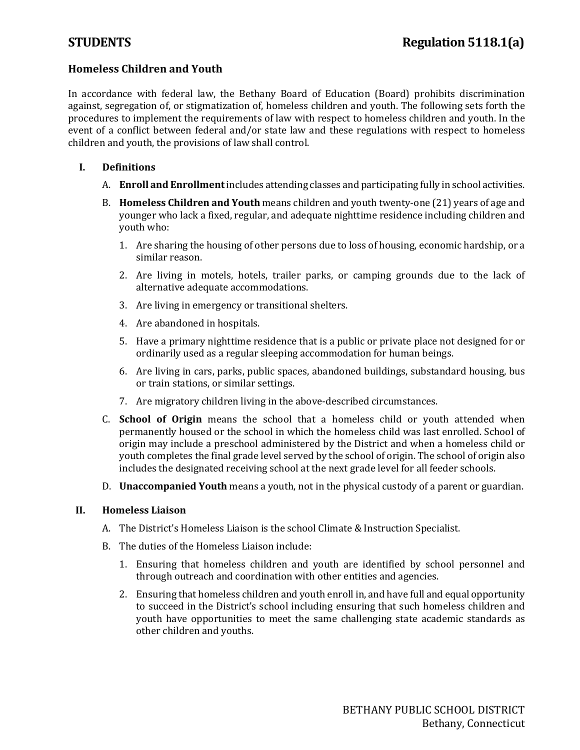# **Homeless Children and Youth**

In accordance with federal law, the Bethany Board of Education (Board) prohibits discrimination against, segregation of, or stigmatization of, homeless children and youth. The following sets forth the procedures to implement the requirements of law with respect to homeless children and youth. In the event of a conflict between federal and/or state law and these regulations with respect to homeless children and youth, the provisions of law shall control.

- **I. Definitions**
	- A. **Enroll and Enrollment**includes attending classes and participating fully in school activities.
	- B. **Homeless Children and Youth** means children and youth twenty-one (21) years of age and younger who lack a fixed, regular, and adequate nighttime residence including children and youth who:
		- 1. Are sharing the housing of other persons due to loss of housing, economic hardship, or a similar reason.
		- 2. Are living in motels, hotels, trailer parks, or camping grounds due to the lack of alternative adequate accommodations.
		- 3. Are living in emergency or transitional shelters.
		- 4. Are abandoned in hospitals.
		- 5. Have a primary nighttime residence that is a public or private place not designed for or ordinarily used as a regular sleeping accommodation for human beings.
		- 6. Are living in cars, parks, public spaces, abandoned buildings, substandard housing, bus or train stations, or similar settings.
		- 7. Are migratory children living in the above-described circumstances.
	- C. **School of Origin** means the school that a homeless child or youth attended when permanently housed or the school in which the homeless child was last enrolled. School of origin may include a preschool administered by the District and when a homeless child or youth completes the final grade level served by the school of origin. The school of origin also includes the designated receiving school at the next grade level for all feeder schools.
	- D. **Unaccompanied Youth** means a youth, not in the physical custody of a parent or guardian.

# **II. Homeless Liaison**

- A. The District's Homeless Liaison is the school Climate & Instruction Specialist.
- B. The duties of the Homeless Liaison include:
	- 1. Ensuring that homeless children and youth are identified by school personnel and through outreach and coordination with other entities and agencies.
	- 2. Ensuring that homeless children and youth enroll in, and have full and equal opportunity to succeed in the District's school including ensuring that such homeless children and youth have opportunities to meet the same challenging state academic standards as other children and youths.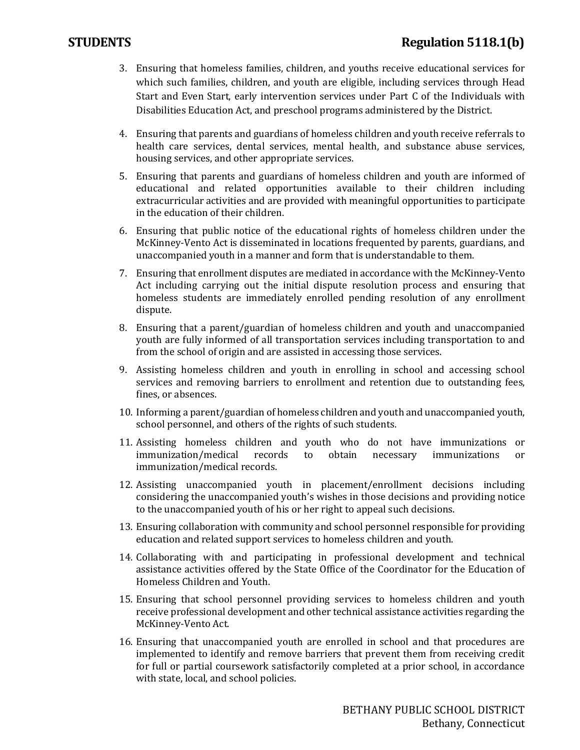- 3. Ensuring that homeless families, children, and youths receive educational services for which such families, children, and youth are eligible, including services through Head Start and Even Start, early intervention services under Part C of the Individuals with Disabilities Education Act, and preschool programs administered by the District.
- 4. Ensuring that parents and guardians of homeless children and youth receive referrals to health care services, dental services, mental health, and substance abuse services, housing services, and other appropriate services.
- 5. Ensuring that parents and guardians of homeless children and youth are informed of educational and related opportunities available to their children including extracurricular activities and are provided with meaningful opportunities to participate in the education of their children.
- 6. Ensuring that public notice of the educational rights of homeless children under the McKinney-Vento Act is disseminated in locations frequented by parents, guardians, and unaccompanied youth in a manner and form that is understandable to them.
- 7. Ensuring that enrollment disputes are mediated in accordance with the McKinney-Vento Act including carrying out the initial dispute resolution process and ensuring that homeless students are immediately enrolled pending resolution of any enrollment dispute.
- 8. Ensuring that a parent/guardian of homeless children and youth and unaccompanied youth are fully informed of all transportation services including transportation to and from the school of origin and are assisted in accessing those services.
- 9. Assisting homeless children and youth in enrolling in school and accessing school services and removing barriers to enrollment and retention due to outstanding fees, fines, or absences.
- 10. Informing a parent/guardian of homeless children and youth and unaccompanied youth, school personnel, and others of the rights of such students.
- 11. Assisting homeless children and youth who do not have immunizations or immunization/medical records to obtain necessary immunizations or immunization/medical records to immunization/medical records.
- 12. Assisting unaccompanied youth in placement/enrollment decisions including considering the unaccompanied youth's wishes in those decisions and providing notice to the unaccompanied youth of his or her right to appeal such decisions.
- 13. Ensuring collaboration with community and school personnel responsible for providing education and related support services to homeless children and youth.
- 14. Collaborating with and participating in professional development and technical assistance activities offered by the State Office of the Coordinator for the Education of Homeless Children and Youth.
- 15. Ensuring that school personnel providing services to homeless children and youth receive professional development and other technical assistance activities regarding the McKinney-Vento Act.
- 16. Ensuring that unaccompanied youth are enrolled in school and that procedures are implemented to identify and remove barriers that prevent them from receiving credit for full or partial coursework satisfactorily completed at a prior school, in accordance with state, local, and school policies.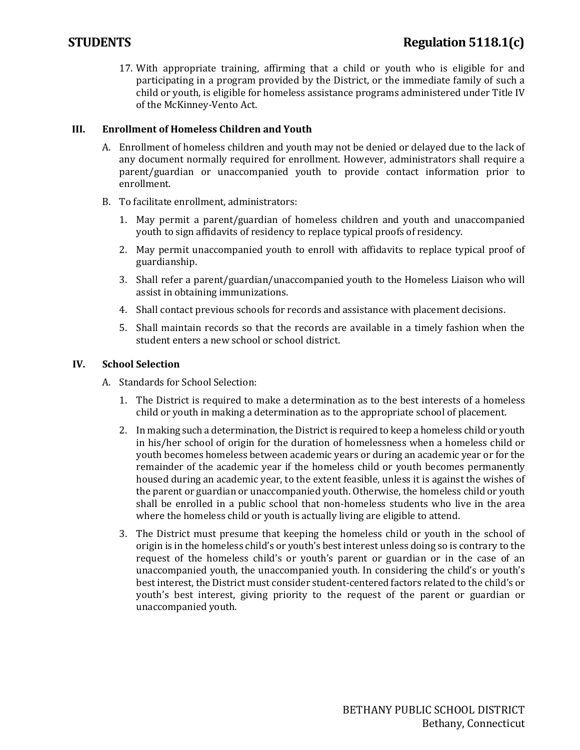17. With appropriate training, affirming that a child or youth who is eligible for and participating in a program provided by the District, or the immediate family of such a child or youth, is eligible for homeless assistance programs administered under Title IV of the McKinney-Vento Act.

# **III. Enrollment of Homeless Children and Youth**

- A. Enrollment of homeless children and youth may not be denied or delayed due to the lack of any document normally required for enrollment. However, administrators shall require a parent/guardian or unaccompanied youth to provide contact information prior to enrollment.
- B. To facilitate enrollment, administrators:
	- 1. May permit a parent/guardian of homeless children and youth and unaccompanied youth to sign affidavits of residency to replace typical proofs of residency.
	- 2. May permit unaccompanied youth to enroll with affidavits to replace typical proof of guardianship.
	- 3. Shall refer a parent/guardian/unaccompanied youth to the Homeless Liaison who will assist in obtaining immunizations.
	- 4. Shall contact previous schools for records and assistance with placement decisions.
	- 5. Shall maintain records so that the records are available in a timely fashion when the student enters a new school or school district.

#### **IV. School Selection**

- A. Standards for School Selection:
	- 1. The District is required to make a determination as to the best interests of a homeless child or youth in making a determination as to the appropriate school of placement.
	- 2. In making such a determination, the District is required to keep a homeless child or youth in his/her school of origin for the duration of homelessness when a homeless child or youth becomes homeless between academic years or during an academic year or for the remainder of the academic year if the homeless child or youth becomes permanently housed during an academic year, to the extent feasible, unless it is against the wishes of the parent or guardian or unaccompanied youth. Otherwise, the homeless child or youth shall be enrolled in a public school that non-homeless students who live in the area where the homeless child or youth is actually living are eligible to attend.
	- 3. The District must presume that keeping the homeless child or youth in the school of origin is in the homeless child's or youth's best interest unless doing so is contrary to the request of the homeless child's or youth's parent or guardian or in the case of an unaccompanied youth, the unaccompanied youth. In considering the child's or youth's best interest, the District must consider student-centered factors related to the child's or youth's best interest, giving priority to the request of the parent or guardian or unaccompanied youth.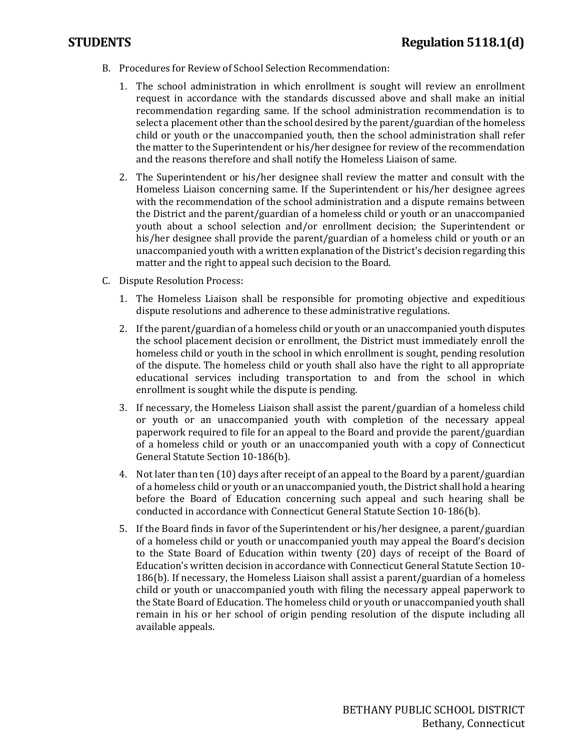- B. Procedures for Review of School Selection Recommendation:
	- 1. The school administration in which enrollment is sought will review an enrollment request in accordance with the standards discussed above and shall make an initial recommendation regarding same. If the school administration recommendation is to select a placement other than the school desired by the parent/guardian of the homeless child or youth or the unaccompanied youth, then the school administration shall refer the matter to the Superintendent or his/her designee for review of the recommendation and the reasons therefore and shall notify the Homeless Liaison of same.
	- 2. The Superintendent or his/her designee shall review the matter and consult with the Homeless Liaison concerning same. If the Superintendent or his/her designee agrees with the recommendation of the school administration and a dispute remains between the District and the parent/guardian of a homeless child or youth or an unaccompanied youth about a school selection and/or enrollment decision; the Superintendent or his/her designee shall provide the parent/guardian of a homeless child or youth or an unaccompanied youth with a written explanation of the District's decision regarding this matter and the right to appeal such decision to the Board.
- C. Dispute Resolution Process:
	- 1. The Homeless Liaison shall be responsible for promoting objective and expeditious dispute resolutions and adherence to these administrative regulations.
	- 2. If the parent/guardian of a homeless child or youth or an unaccompanied youth disputes the school placement decision or enrollment, the District must immediately enroll the homeless child or youth in the school in which enrollment is sought, pending resolution of the dispute. The homeless child or youth shall also have the right to all appropriate educational services including transportation to and from the school in which enrollment is sought while the dispute is pending.
	- 3. If necessary, the Homeless Liaison shall assist the parent/guardian of a homeless child or youth or an unaccompanied youth with completion of the necessary appeal paperwork required to file for an appeal to the Board and provide the parent/guardian of a homeless child or youth or an unaccompanied youth with a copy of Connecticut General Statute Section 10-186(b).
	- 4. Not later than ten (10) days after receipt of an appeal to the Board by a parent/guardian of a homeless child or youth or an unaccompanied youth, the District shall hold a hearing before the Board of Education concerning such appeal and such hearing shall be conducted in accordance with Connecticut General Statute Section 10-186(b).
	- 5. If the Board finds in favor of the Superintendent or his/her designee, a parent/guardian of a homeless child or youth or unaccompanied youth may appeal the Board's decision to the State Board of Education within twenty (20) days of receipt of the Board of Education's written decision in accordance with Connecticut General Statute Section 10- 186(b). If necessary, the Homeless Liaison shall assist a parent/guardian of a homeless child or youth or unaccompanied youth with filing the necessary appeal paperwork to the State Board of Education. The homeless child or youth or unaccompanied youth shall remain in his or her school of origin pending resolution of the dispute including all available appeals.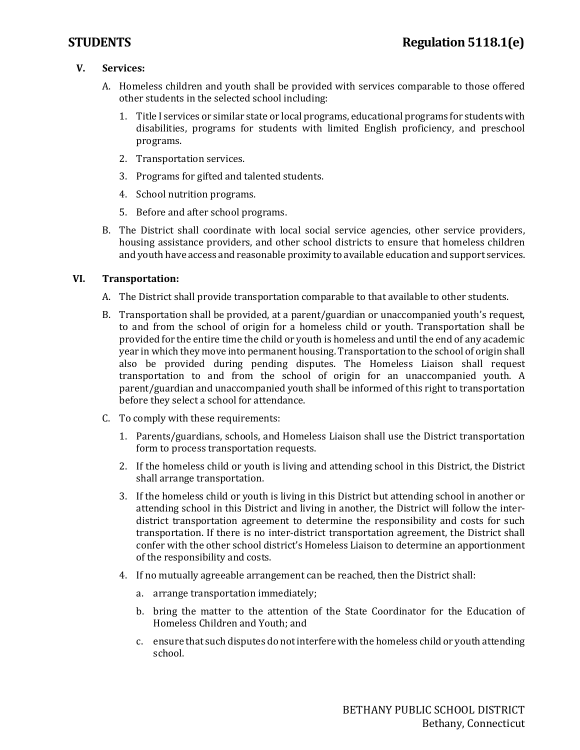# **V. Services:**

- A. Homeless children and youth shall be provided with services comparable to those offered other students in the selected school including:
	- 1. Title I services or similar state or local programs, educational programs for students with disabilities, programs for students with limited English proficiency, and preschool programs.
	- 2. Transportation services.
	- 3. Programs for gifted and talented students.
	- 4. School nutrition programs.
	- 5. Before and after school programs.
- B. The District shall coordinate with local social service agencies, other service providers, housing assistance providers, and other school districts to ensure that homeless children and youth have access and reasonable proximity to available education and support services.

#### **VI. Transportation:**

- A. The District shall provide transportation comparable to that available to other students.
- B. Transportation shall be provided, at a parent/guardian or unaccompanied youth's request, to and from the school of origin for a homeless child or youth. Transportation shall be provided for the entire time the child or youth is homeless and until the end of any academic year in which they move into permanent housing. Transportation to the school of origin shall also be provided during pending disputes. The Homeless Liaison shall request transportation to and from the school of origin for an unaccompanied youth. A parent/guardian and unaccompanied youth shall be informed of this right to transportation before they select a school for attendance.
- C. To comply with these requirements:
	- 1. Parents/guardians, schools, and Homeless Liaison shall use the District transportation form to process transportation requests.
	- 2. If the homeless child or youth is living and attending school in this District, the District shall arrange transportation.
	- 3. If the homeless child or youth is living in this District but attending school in another or attending school in this District and living in another, the District will follow the interdistrict transportation agreement to determine the responsibility and costs for such transportation. If there is no inter-district transportation agreement, the District shall confer with the other school district's Homeless Liaison to determine an apportionment of the responsibility and costs.
	- 4. If no mutually agreeable arrangement can be reached, then the District shall:
		- a. arrange transportation immediately;
		- b. bring the matter to the attention of the State Coordinator for the Education of Homeless Children and Youth; and
		- c. ensure that such disputes do not interfere with the homeless child or youth attending school.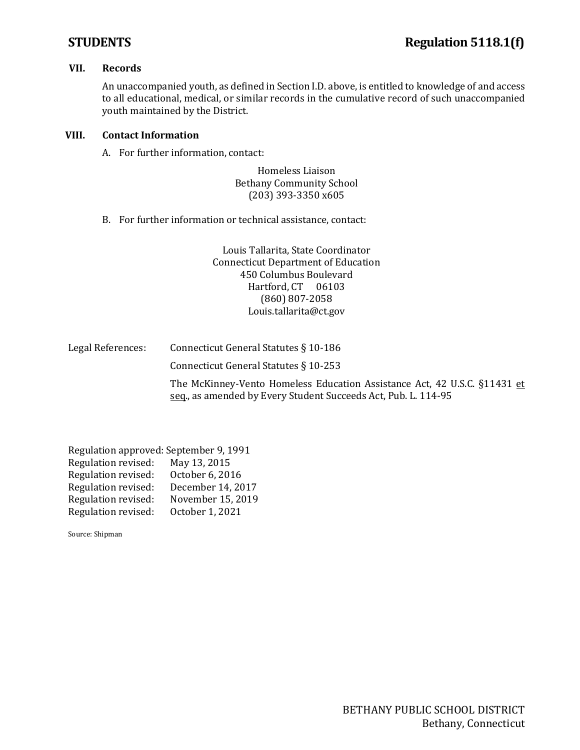#### **VII. Records**

An unaccompanied youth, as defined in Section I.D. above, is entitled to knowledge of and access to all educational, medical, or similar records in the cumulative record of such unaccompanied youth maintained by the District.

#### **VIII. Contact Information**

A. For further information, contact:

Homeless Liaison Bethany Community School (203) 393-3350 x605

B. For further information or technical assistance, contact:

Louis Tallarita, State Coordinator Connecticut Department of Education 450 Columbus Boulevard Hartford, CT 06103 (860) 807-2058 [Louis.tallarita@ct.gov](mailto:Louis.tallarita@ct.gov)

| Legal References: | Connecticut General Statutes § 10-186 |
|-------------------|---------------------------------------|
|                   | Connecticut General Statutes § 10-253 |

The McKinney-Vento Homeless Education Assistance Act, 42 U.S.C. §11431 et seq., as amended by Every Student Succeeds Act, Pub. L. 114-95

| Regulation approved: September 9, 1991 |                   |  |  |  |
|----------------------------------------|-------------------|--|--|--|
| Regulation revised:                    | May 13, 2015      |  |  |  |
| Regulation revised:                    | October 6, 2016   |  |  |  |
| Regulation revised:                    | December 14, 2017 |  |  |  |
| Regulation revised:                    | November 15, 2019 |  |  |  |
| Regulation revised:                    | October 1, 2021   |  |  |  |
|                                        |                   |  |  |  |

Source: Shipman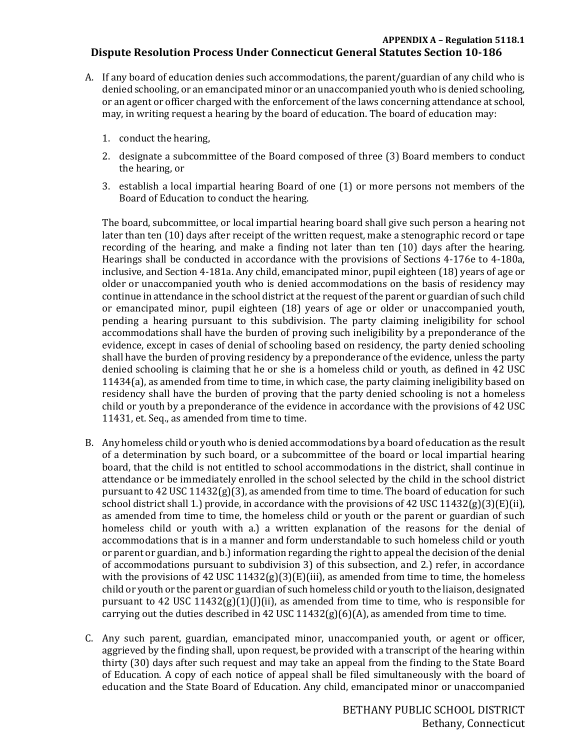### **APPENDIX A – Regulation 5118.1 Dispute Resolution Process Under Connecticut General Statutes Section 10-186**

- A. If any board of education denies such accommodations, the parent/guardian of any child who is denied schooling, or an emancipated minor or an unaccompanied youth who is denied schooling, or an agent or officer charged with the enforcement of the laws concerning attendance at school, may, in writing request a hearing by the board of education. The board of education may:
	- 1. conduct the hearing,
	- 2. designate a subcommittee of the Board composed of three (3) Board members to conduct the hearing, or
	- 3. establish a local impartial hearing Board of one (1) or more persons not members of the Board of Education to conduct the hearing.

The board, subcommittee, or local impartial hearing board shall give such person a hearing not later than ten (10) days after receipt of the written request, make a stenographic record or tape recording of the hearing, and make a finding not later than ten (10) days after the hearing. Hearings shall be conducted in accordance with the provisions of Sections 4-176e to 4-180a, inclusive, and Section 4-181a. Any child, emancipated minor, pupil eighteen (18) years of age or older or unaccompanied youth who is denied accommodations on the basis of residency may continue in attendance in the school district at the request of the parent or guardian of such child or emancipated minor, pupil eighteen (18) years of age or older or unaccompanied youth, pending a hearing pursuant to this subdivision. The party claiming ineligibility for school accommodations shall have the burden of proving such ineligibility by a preponderance of the evidence, except in cases of denial of schooling based on residency, the party denied schooling shall have the burden of proving residency by a preponderance of the evidence, unless the party denied schooling is claiming that he or she is a homeless child or youth, as defined in 42 USC 11434(a), as amended from time to time, in which case, the party claiming ineligibility based on residency shall have the burden of proving that the party denied schooling is not a homeless child or youth by a preponderance of the evidence in accordance with the provisions of 42 USC 11431, et. Seq., as amended from time to time.

- B. Any homeless child or youth who is denied accommodations by a board of education as the result of a determination by such board, or a subcommittee of the board or local impartial hearing board, that the child is not entitled to school accommodations in the district, shall continue in attendance or be immediately enrolled in the school selected by the child in the school district pursuant to 42 USC 11432( $g$ )(3), as amended from time to time. The board of education for such school district shall 1.) provide, in accordance with the provisions of 42 USC  $11432(g)(3)(E)(ii)$ , as amended from time to time, the homeless child or youth or the parent or guardian of such homeless child or youth with a.) a written explanation of the reasons for the denial of accommodations that is in a manner and form understandable to such homeless child or youth or parent or guardian, and b.) information regarding the right to appeal the decision of the denial of accommodations pursuant to subdivision 3) of this subsection, and 2.) refer, in accordance with the provisions of 42 USC 11432(g)(3)(E)(iii), as amended from time to time, the homeless child or youth or the parent or guardian of such homeless child or youth to the liaison, designated pursuant to 42 USC 11432 $(g)(1)(j)(ii)$ , as amended from time to time, who is responsible for carrying out the duties described in 42 USC 11432(g)(6)(A), as amended from time to time.
- C. Any such parent, guardian, emancipated minor, unaccompanied youth, or agent or officer, aggrieved by the finding shall, upon request, be provided with a transcript of the hearing within thirty (30) days after such request and may take an appeal from the finding to the State Board of Education. A copy of each notice of appeal shall be filed simultaneously with the board of education and the State Board of Education. Any child, emancipated minor or unaccompanied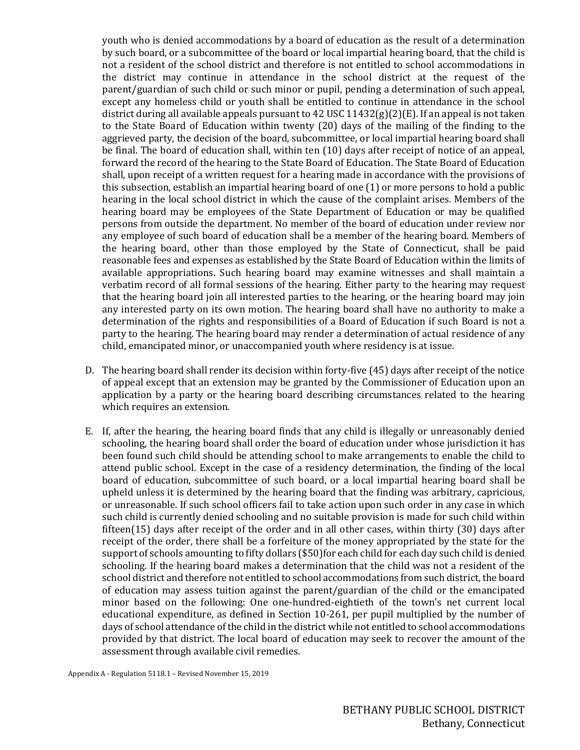youth who is denied accommodations by a board of education as the result of a determination by such board, or a subcommittee of the board or local impartial hearing board, that the child is not a resident of the school district and therefore is not entitled to school accommodations in the district may continue in attendance in the school district at the request of the parent/guardian of such child or such minor or pupil, pending a determination of such appeal, except any homeless child or youth shall be entitled to continue in attendance in the school district during all available appeals pursuant to 42 USC  $11432(g)(2)(E)$ . If an appeal is not taken to the State Board of Education within twenty (20) days of the mailing of the finding to the aggrieved party, the decision of the board, subcommittee, or local impartial hearing board shall be final. The board of education shall, within ten (10) days after receipt of notice of an appeal, forward the record of the hearing to the State Board of Education. The State Board of Education shall, upon receipt of a written request for a hearing made in accordance with the provisions of this subsection, establish an impartial hearing board of one (1) or more persons to hold a public hearing in the local school district in which the cause of the complaint arises. Members of the hearing board may be employees of the State Department of Education or may be qualified persons from outside the department. No member of the board of education under review nor any employee of such board of education shall be a member of the hearing board. Members of the hearing board, other than those employed by the State of Connecticut, shall be paid reasonable fees and expenses as established by the State Board of Education within the limits of available appropriations. Such hearing board may examine witnesses and shall maintain a verbatim record of all formal sessions of the hearing. Either party to the hearing may request that the hearing board join all interested parties to the hearing, or the hearing board may join any interested party on its own motion. The hearing board shall have no authority to make a determination of the rights and responsibilities of a Board of Education if such Board is not a party to the hearing. The hearing board may render a determination of actual residence of any child, emancipated minor, or unaccompanied youth where residency is at issue.

- D. The hearing board shall render its decision within forty-five (45) days after receipt of the notice of appeal except that an extension may be granted by the Commissioner of Education upon an application by a party or the hearing board describing circumstances related to the hearing which requires an extension.
- E. If, after the hearing, the hearing board finds that any child is illegally or unreasonably denied schooling, the hearing board shall order the board of education under whose jurisdiction it has been found such child should be attending school to make arrangements to enable the child to attend public school. Except in the case of a residency determination, the finding of the local board of education, subcommittee of such board, or a local impartial hearing board shall be upheld unless it is determined by the hearing board that the finding was arbitrary, capricious, or unreasonable. If such school officers fail to take action upon such order in any case in which such child is currently denied schooling and no suitable provision is made for such child within fifteen(15) days after receipt of the order and in all other cases, within thirty (30) days after receipt of the order, there shall be a forfeiture of the money appropriated by the state for the support of schools amounting to fifty dollars (\$50)for each child for each day such child is denied schooling. If the hearing board makes a determination that the child was not a resident of the school district and therefore not entitled to school accommodations from such district, the board of education may assess tuition against the parent/guardian of the child or the emancipated minor based on the following: One one-hundred-eightieth of the town's net current local educational expenditure, as defined in Section 10-261, per pupil multiplied by the number of days of school attendance of the child in the district while not entitled to school accommodations provided by that district. The local board of education may seek to recover the amount of the assessment through available civil remedies.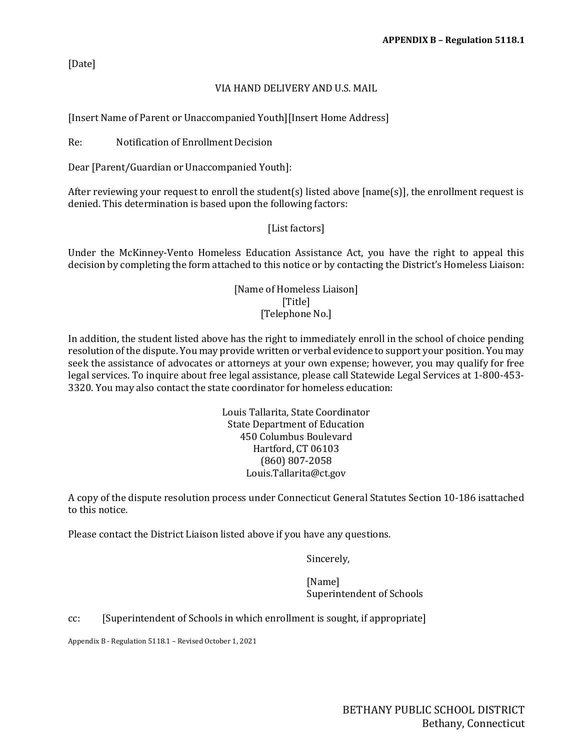[Date]

# VIA HAND DELIVERY AND U.S. MAIL

[Insert Name of Parent or Unaccompanied Youth][Insert Home Address]

Re: Notification of Enrollment Decision

Dear [Parent/Guardian or Unaccompanied Youth]:

After reviewing your request to enroll the student(s) listed above [name(s)], the enrollment request is denied. This determination is based upon the following factors:

# [List factors]

Under the McKinney-Vento Homeless Education Assistance Act, you have the right to appeal this decision by completing the form attached to this notice or by contacting the District's Homeless Liaison:

> [Name of Homeless Liaison] [Title] [Telephone No.]

In addition, the student listed above has the right to immediately enroll in the school of choice pending resolution of the dispute. You may provide written or verbal evidence to support your position. You may seek the assistance of advocates or attorneys at your own expense; however, you may qualify for free legal services. To inquire about free legal assistance, please call Statewide Legal Services at 1-800-453- 3320. You may also contact the state coordinator for homeless education:

> Louis Tallarita, State Coordinator State Department of Education 450 Columbus Boulevard Hartford, CT 06103 (860) 807-2058 [Louis.Tallarita@ct.gov](mailto:Louis.Tallarita@ct.gov)

A copy of the dispute resolution process under Connecticut General Statutes Section 10-186 isattached to this notice.

Please contact the District Liaison listed above if you have any questions.

Sincerely,

[Name] Superintendent of Schools

cc: [Superintendent of Schools in which enrollment is sought, if appropriate]

Appendix B - Regulation 5118.1 – Revised October 1, 2021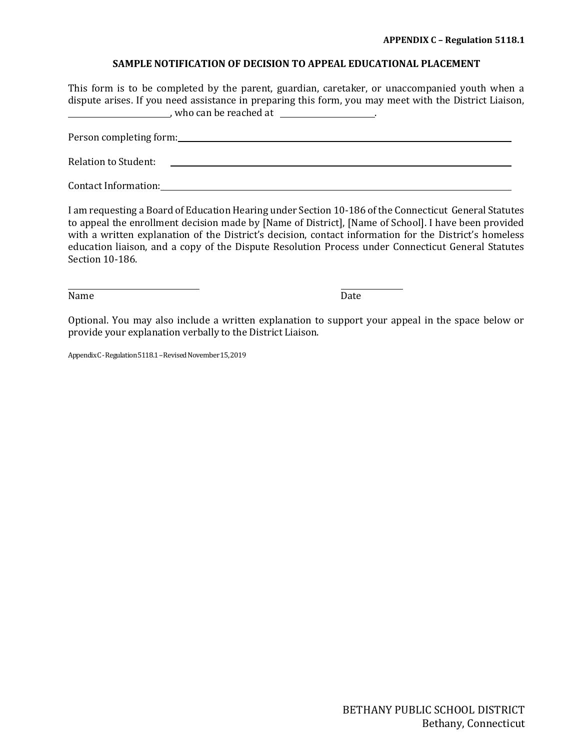#### **SAMPLE NOTIFICATION OF DECISION TO APPEAL EDUCATIONAL PLACEMENT**

This form is to be completed by the parent, guardian, caretaker, or unaccompanied youth when a dispute arises. If you need assistance in preparing this form, you may meet with the District Liaison,  $\blacksquare$ , who can be reached at  $\blacksquare$ .

Person completing form:

Relation to Student:

Contact Information:

I am requesting a Board of Education Hearing under Section 10-186 of the Connecticut General Statutes to appeal the enrollment decision made by [Name of District], [Name of School]. I have been provided with a written explanation of the District's decision, contact information for the District's homeless education liaison, and a copy of the Dispute Resolution Process under Connecticut General Statutes Section 10-186.

Name Date

Optional. You may also include a written explanation to support your appeal in the space below or provide your explanation verbally to the District Liaison.

Appendix C - Regulation 5118.1 – Revised November 15, 2019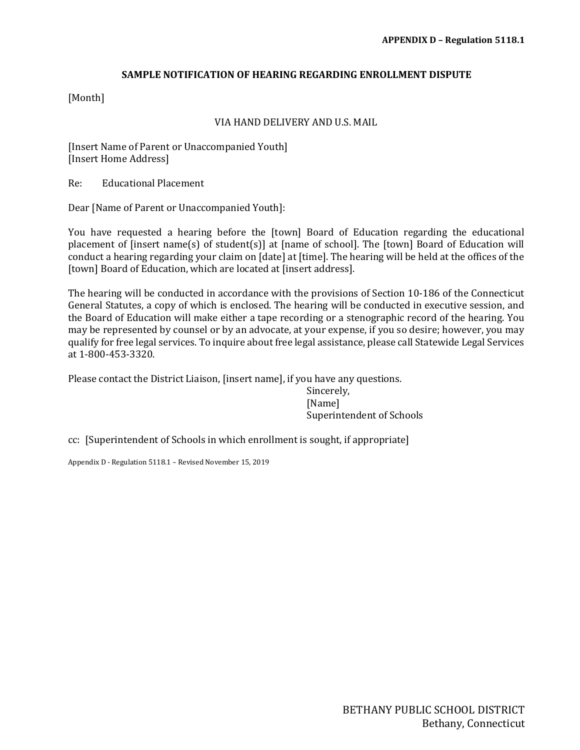#### **SAMPLE NOTIFICATION OF HEARING REGARDING ENROLLMENT DISPUTE**

[Month]

#### VIA HAND DELIVERY AND U.S. MAIL

[Insert Name of Parent or Unaccompanied Youth] [Insert Home Address]

Re: Educational Placement

Dear [Name of Parent or Unaccompanied Youth]:

You have requested a hearing before the [town] Board of Education regarding the educational placement of [insert name(s) of student(s)] at [name of school]. The [town] Board of Education will conduct a hearing regarding your claim on [date] at [time]. The hearing will be held at the offices of the [town] Board of Education, which are located at [insert address].

The hearing will be conducted in accordance with the provisions of Section 10-186 of the Connecticut General Statutes, a copy of which is enclosed. The hearing will be conducted in executive session, and the Board of Education will make either a tape recording or a stenographic record of the hearing. You may be represented by counsel or by an advocate, at your expense, if you so desire; however, you may qualify for free legal services. To inquire about free legal assistance, please call Statewide Legal Services at 1-800-453-3320.

Please contact the District Liaison, [insert name], if you have any questions.

Sincerely, [Name] Superintendent of Schools

cc: [Superintendent of Schools in which enrollment is sought, if appropriate]

Appendix D - Regulation 5118.1 – Revised November 15, 2019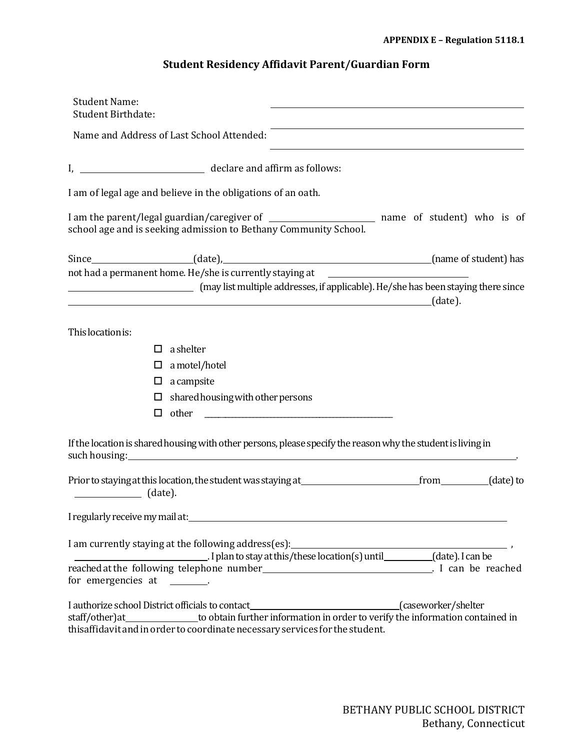# **Student Residency Affidavit Parent/Guardian Form**

| <b>Student Name:</b><br><b>Student Birthdate:</b>                                                                                                                                                                                                                                                 |
|---------------------------------------------------------------------------------------------------------------------------------------------------------------------------------------------------------------------------------------------------------------------------------------------------|
| Name and Address of Last School Attended:                                                                                                                                                                                                                                                         |
|                                                                                                                                                                                                                                                                                                   |
| I am of legal age and believe in the obligations of an oath.                                                                                                                                                                                                                                      |
| school age and is seeking admission to Bethany Community School.                                                                                                                                                                                                                                  |
| not had a permanent home. He/she is currently staying at _______________________<br>(may list multiple addresses, if applicable). He/she has been staying there since                                                                                                                             |
|                                                                                                                                                                                                                                                                                                   |
| This location is:                                                                                                                                                                                                                                                                                 |
| $\Box$ a shelter                                                                                                                                                                                                                                                                                  |
| a motel/hotel<br>□                                                                                                                                                                                                                                                                                |
| $\Box$ a campsite                                                                                                                                                                                                                                                                                 |
| shared housing with other persons<br>□                                                                                                                                                                                                                                                            |
| □                                                                                                                                                                                                                                                                                                 |
| If the location is shared housing with other persons, please specify the reason why the student is living in                                                                                                                                                                                      |
| $\sqrt{a^2 + b^2 + c^2}$ (date).                                                                                                                                                                                                                                                                  |
| I regularly receive my mail at:                                                                                                                                                                                                                                                                   |
| I am currently staying at the following address(es):<br>I plan to stay at this/these location(s) until________(date). I can be<br>reached at the following telephone number<br><u>Letter and the second</u> in the reached                                                                        |
| for emergencies at ________.                                                                                                                                                                                                                                                                      |
| I authorize school District officials to contact________________________________(caseworker/shelter<br>staff/other)at_______________to obtain further information in order to verify the information contained in<br>thisaffidavit and in order to coordinate necessary services for the student. |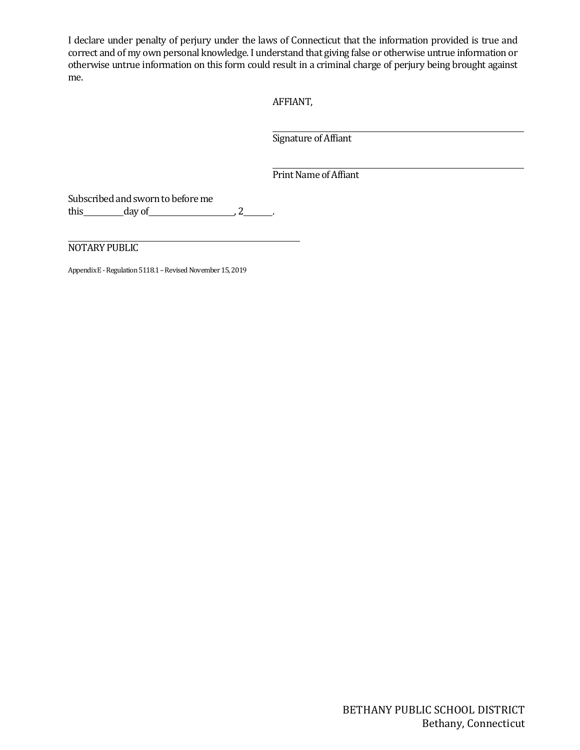I declare under penalty of perjury under the laws of Connecticut that the information provided is true and correct and of my own personal knowledge. I understand that giving false or otherwise untrue information or otherwise untrue information on this form could result in a criminal charge of perjury being brought against me.

AFFIANT,

Signature of Affiant

Print Name of Affiant

Subscribed and sworn to before me this  $\qquad \qquad \text{day of} \qquad \qquad 2 \qquad .$ 

NOTARY PUBLIC

Appendix E - Regulation 5118.1 – Revised November 15, 2019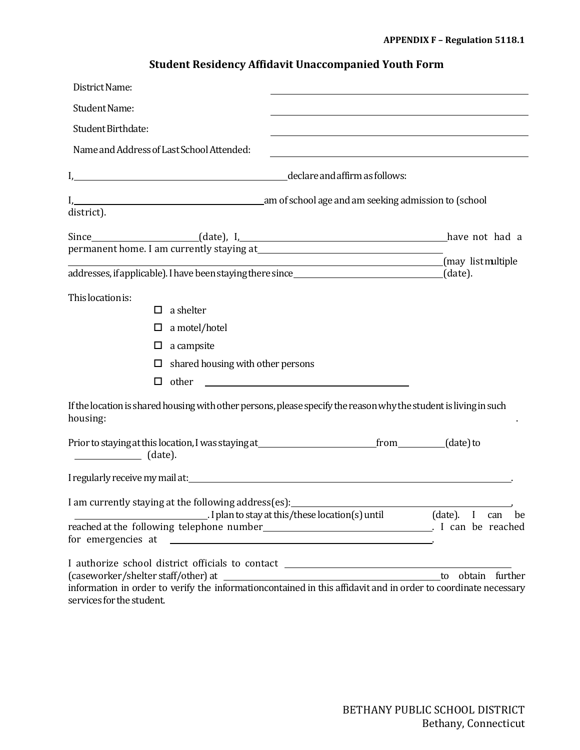# **Student Residency Affidavit Unaccompanied Youth Form**

| District Name:                                                                                                                              |                                                                 |                    |
|---------------------------------------------------------------------------------------------------------------------------------------------|-----------------------------------------------------------------|--------------------|
| Student Name:                                                                                                                               |                                                                 |                    |
| Student Birthdate:                                                                                                                          |                                                                 |                    |
| Name and Address of Last School Attended:                                                                                                   |                                                                 |                    |
| I, declare and affirm as follows:                                                                                                           |                                                                 |                    |
| I, 1. 2008 and 2008 and 2008 and 2008 and 2008 and 2008 and 2008 are and 2008 and 2008 are and 2008 are and 200                             |                                                                 |                    |
| district).                                                                                                                                  |                                                                 |                    |
|                                                                                                                                             |                                                                 |                    |
|                                                                                                                                             |                                                                 | (may list multiple |
|                                                                                                                                             |                                                                 |                    |
| This location is:<br>a shelter<br>□                                                                                                         |                                                                 |                    |
| a motel/hotel<br>□                                                                                                                          |                                                                 |                    |
| a campsite<br>□                                                                                                                             |                                                                 |                    |
| shared housing with other persons<br>□                                                                                                      |                                                                 |                    |
| □<br>other                                                                                                                                  | <u> 1980 - Jan James Barnett, fransk politik (d. 1980)</u>      |                    |
| If the location is shared housing with other persons, please specify the reason why the student is living in such<br>housing:               |                                                                 |                    |
|                                                                                                                                             |                                                                 |                    |
|                                                                                                                                             |                                                                 |                    |
|                                                                                                                                             |                                                                 |                    |
| I am currently staying at the following address(es):                                                                                        | I plan to stay at this/these location(s) until (date). I can be |                    |
|                                                                                                                                             |                                                                 |                    |
| I authorize school district officials to contact _______________________________                                                            |                                                                 |                    |
|                                                                                                                                             |                                                                 | to obtain further  |
| information in order to verify the informationcontained in this affidavit and in order to coordinate necessary<br>services for the student. |                                                                 |                    |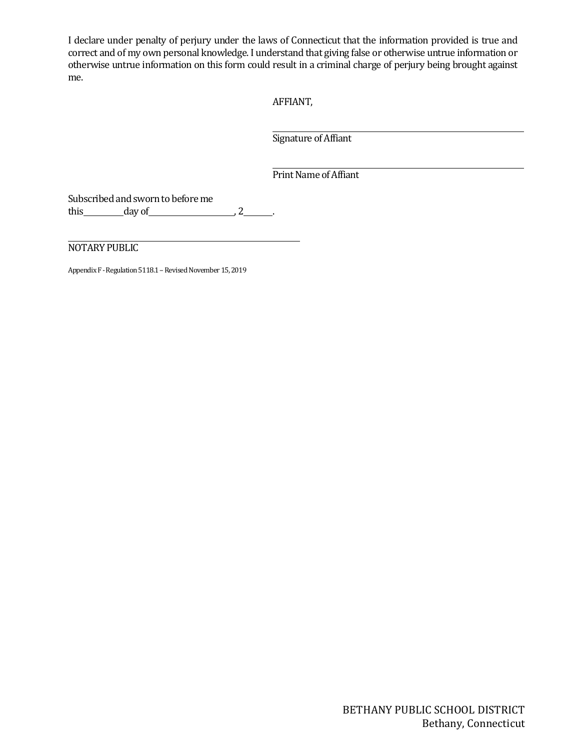I declare under penalty of perjury under the laws of Connecticut that the information provided is true and correct and of my own personal knowledge. I understand that giving false or otherwise untrue information or otherwise untrue information on this form could result in a criminal charge of perjury being brought against me.

AFFIANT,

Signature of Affiant

Print Name of Affiant

Subscribed and sworn to before me this  $\qquad \qquad \text{day of} \qquad \qquad 2 \qquad .$ 

NOTARY PUBLIC

Appendix F - Regulation 5118.1 – Revised November 15, 2019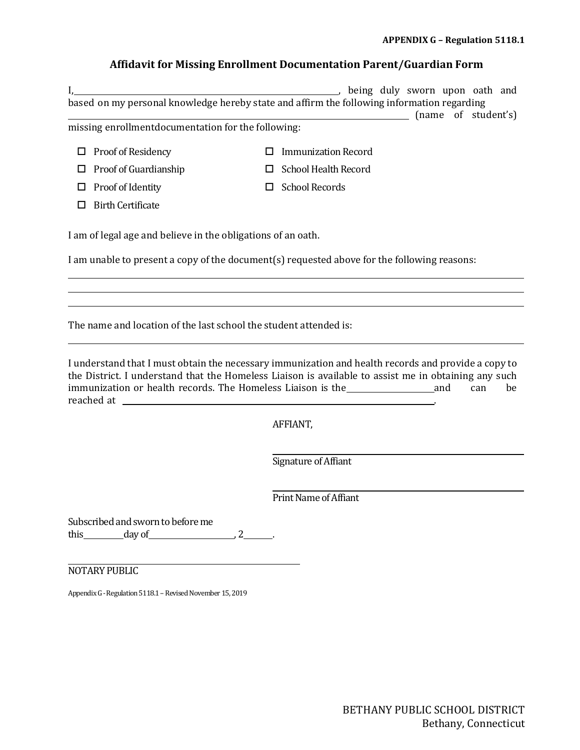# **Affidavit for Missing Enrollment Documentation Parent/Guardian Form**

|   |                                                                   | being duly sworn upon oath and                                                                                                                                                          |
|---|-------------------------------------------------------------------|-----------------------------------------------------------------------------------------------------------------------------------------------------------------------------------------|
|   |                                                                   | based on my personal knowledge hereby state and affirm the following information regarding<br>(name of student's)                                                                       |
|   | missing enrollmentdocumentation for the following:                |                                                                                                                                                                                         |
| □ | Proof of Residency                                                | <b>Immunization Record</b><br>П                                                                                                                                                         |
| □ | Proof of Guardianship                                             | <b>School Health Record</b><br>ΙI                                                                                                                                                       |
| ப | Proof of Identity                                                 | <b>School Records</b><br>ப                                                                                                                                                              |
| □ | <b>Birth Certificate</b>                                          |                                                                                                                                                                                         |
|   |                                                                   |                                                                                                                                                                                         |
|   | I am of legal age and believe in the obligations of an oath.      |                                                                                                                                                                                         |
|   |                                                                   | I am unable to present a copy of the document(s) requested above for the following reasons:                                                                                             |
|   |                                                                   |                                                                                                                                                                                         |
|   |                                                                   |                                                                                                                                                                                         |
|   |                                                                   |                                                                                                                                                                                         |
|   | The name and location of the last school the student attended is: |                                                                                                                                                                                         |
|   |                                                                   |                                                                                                                                                                                         |
|   |                                                                   | I understand that I must obtain the necessary immunization and health records and provide a copy to                                                                                     |
|   |                                                                   | the District. I understand that the Homeless Liaison is available to assist me in obtaining any such<br>immunization or health records. The Homeless Liaison is the<br>and<br>be<br>can |
|   |                                                                   |                                                                                                                                                                                         |
|   |                                                                   | AFFIANT,                                                                                                                                                                                |
|   |                                                                   |                                                                                                                                                                                         |
|   |                                                                   | Signature of Affiant                                                                                                                                                                    |
|   |                                                                   |                                                                                                                                                                                         |
|   |                                                                   | <b>Print Name of Affiant</b>                                                                                                                                                            |

Subscribed and sworn to before me this  $\qquad \qquad \text{day of} \qquad \qquad 2 \qquad .$ 

NOTARY PUBLIC

Appendix G - Regulation 5118.1 – Revised November 15, 2019